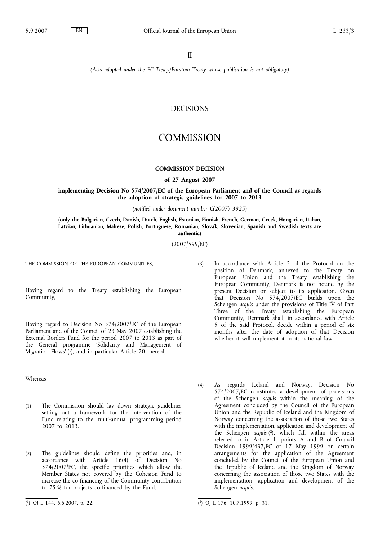II

*(Acts adopted under the EC Treaty/Euratom Treaty whose publication is not obligatory)*

# DECISIONS

# **COMMISSION**

# **COMMISSION DECISION**

**of 27 August 2007**

**implementing Decision No 574/2007/EC of the European Parliament and of the Council as regards the adoption of strategic guidelines for 2007 to 2013**

*(notified under document number C(2007) 3925)*

**(only the Bulgarian, Czech, Danish, Dutch, English, Estonian, Finnish, French, German, Greek, Hungarian, Italian, Latvian, Lithuanian, Maltese, Polish, Portuguese, Romanian, Slovak, Slovenian, Spanish and Swedish texts are authentic)**

(2007/599/EC)

THE COMMISSION OF THE EUROPEAN COMMUNITIES,

Having regard to the Treaty establishing the European Community,

Having regard to Decision No 574/2007/EC of the European Parliament and of the Council of 23 May 2007 establishing the External Borders Fund for the period 2007 to 2013 as part of the General programme 'Solidarity and Management of Migration Flows' (1), and in particular Article 20 thereof,

Whereas

- (1) The Commission should lay down strategic guidelines setting out a framework for the intervention of the Fund relating to the multi-annual programming period 2007 to 2013.
- (2) The guidelines should define the priorities and, in accordance with Article 16(4) of Decision No 574/2007/EC, the specific priorities which allow the Member States not covered by the Cohesion Fund to increase the co-financing of the Community contribution to 75 % for projects co-financed by the Fund.
- (3) In accordance with Article 2 of the Protocol on the position of Denmark, annexed to the Treaty on European Union and the Treaty establishing the European Community, Denmark is not bound by the present Decision or subject to its application. Given that Decision No 574/2007/EC builds upon the Schengen *acquis* under the provisions of Title IV of Part Three of the Treaty establishing the European Community, Denmark shall, in accordance with Article 5 of the said Protocol, decide within a period of six months after the date of adoption of that Decision whether it will implement it in its national law.
- (4) As regards Iceland and Norway, Decision No 574/2007/EC constitutes a development of provisions of the Schengen *acquis* within the meaning of the Agreement concluded by the Council of the European Union and the Republic of Iceland and the Kingdom of Norway concerning the association of those two States with the implementation, application and development of the Schengen *acquis* ( 2), which fall within the areas referred to in Article 1, points A and B of Council Decision 1999/437/EC of 17 May 1999 on certain arrangements for the application of the Agreement concluded by the Council of the European Union and the Republic of Iceland and the Kingdom of Norway concerning the association of those two States with the implementation, application and development of the Schengen *acquis*.

<sup>(</sup> 1) OJ L 144, 6.6.2007, p. 22. (

<sup>2)</sup> OJ L 176, 10.7.1999, p. 31.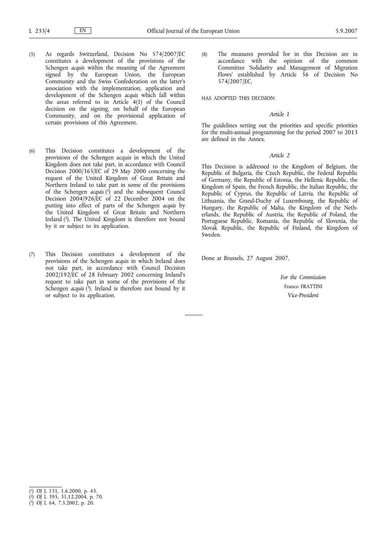- (5) As regards Switzerland, Decision No 574/2007/EC constitutes a development of the provisions of the Schengen *acquis* within the meaning of the Agreement signed by the European Union, the European Community and the Swiss Confederation on the latter's association with the implementation, application and development of the Schengen *acquis* which fall within the areas referred to in Article 4(1) of the Council decision on the signing, on behalf of the European Community, and on the provisional application of certain provisions of this Agreement.
- (6) This Decision constitutes a development of the provisions of the Schengen acquis in which the United Kingdom does not take part, in accordance with Council Decision 2000/365/EC of 29 May 2000 concerning the request of the United Kingdom of Great Britain and Northern Ireland to take part in some of the provisions of the Schengen *acquis* ( 1) and the subsequent Council Decision 2004/926/EC of 22 December 2004 on the putting into effect of parts of the Schengen *acquis* by the United Kingdom of Great Britain and Northern Ireland  $(2)$ . The United Kingdom is therefore not bound by it or subject to its application.
- (7) This Decision constitutes a development of the provisions of the Schengen *acquis* in which Ireland does not take part, in accordance with Council Decision 2002/192/EC of 28 February 2002 concerning Ireland's request to take part in some of the provisions of the Schengen *acquis* ( 3). Ireland is therefore not bound by it or subject to its application.

(8) The measures provided for in this Decision are in accordance with the opinion of the common Committee 'Solidarity and Management of Migration Flows' established by Article 56 of Decision No 574/2007/EC,

HAS ADOPTED THIS DECISION:

#### *Article 1*

The guidelines setting out the priorities and specific priorities for the multi-annual programming for the period 2007 to 2013 are defined in the Annex.

# *Article 2*

This Decision is addressed to the Kingdom of Belgium, the Republic of Bulgaria, the Czech Republic, the Federal Republic of Germany, the Republic of Estonia, the Hellenic Republic, the Kingdom of Spain, the French Republic, the Italian Republic, the Republic of Cyprus, the Republic of Latvia, the Republic of Lithuania, the Grand-Duchy of Luxembourg, the Republic of Hungary, the Republic of Malta, the Kingdom of the Netherlands, the Republic of Austria, the Republic of Poland, the Portuguese Republic, Romania, the Republic of Slovenia, the Slovak Republic, the Republic of Finland, the Kingdom of Sweden.

Done at Brussels, 27 August 2007.

*For the Commission* Franco FRATTINI *Vice-President*

( 3) OJ L 64, 7.3.2002, p. 20.

<sup>(</sup> 1) OJ L 131, 1.6.2000, p. 43.

<sup>(</sup> 2) OJ L 395, 31.12.2004, p. 70.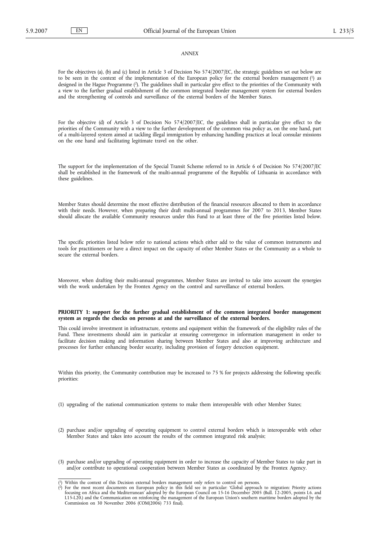#### *ANNEX*

For the objectives (a), (b) and (c) listed in Article 3 of Decision No 574/2007/EC, the strategic guidelines set out below are to be seen in the context of the implementation of the European policy for the external borders management (1) as designed in the Hague Programme (2). The guidelines shall in particular give effect to the priorities of the Community with a view to the further gradual establishment of the common integrated border management system for external borders and the strengthening of controls and surveillance of the external borders of the Member States.

For the objective (d) of Article 3 of Decision No 574/2007/EC, the guidelines shall in particular give effect to the priorities of the Community with a view to the further development of the common visa policy as, on the one hand, part of a multi-layered system aimed at tackling illegal immigration by enhancing handling practices at local consular missions on the one hand and facilitating legitimate travel on the other.

The support for the implementation of the Special Transit Scheme referred to in Article 6 of Decision No 574/2007/EC shall be established in the framework of the multi-annual programme of the Republic of Lithuania in accordance with these guidelines.

Member States should determine the most effective distribution of the financial resources allocated to them in accordance with their needs. However, when preparing their draft multi-annual programmes for 2007 to 2013, Member States should allocate the available Community resources under this Fund to at least three of the five priorities listed below.

The specific priorities listed below refer to national actions which either add to the value of common instruments and tools for practitioners or have a direct impact on the capacity of other Member States or the Community as a whole to secure the external borders.

Moreover, when drafting their multi-annual programmes, Member States are invited to take into account the synergies with the work undertaken by the Frontex Agency on the control and surveillance of external borders.

### **PRIORITY 1: support for the further gradual establishment of the common integrated border management system as regards the checks on persons at and the surveillance of the external borders.**

This could involve investment in infrastructure, systems and equipment within the framework of the eligibility rules of the Fund. These investments should aim in particular at ensuring convergence in information management in order to facilitate decision making and information sharing between Member States and also at improving architecture and processes for further enhancing border security, including provision of forgery detection equipment.

Within this priority, the Community contribution may be increased to 75 % for projects addressing the following specific priorities:

- (1) upgrading of the national communication systems to make them interoperable with other Member States;
- (2) purchase and/or upgrading of operating equipment to control external borders which is interoperable with other Member States and takes into account the results of the common integrated risk analysis;
- (3) purchase and/or upgrading of operating equipment in order to increase the capacity of Member States to take part in and/or contribute to operational cooperation between Member States as coordinated by the Frontex Agency.

<sup>(</sup> Within the context of this Decision external borders management only refers to control on persons.

<sup>(</sup> <sup>2</sup>) For the most recent documents on European policy in this field see in particular: 'Global approach to migration: Priority actions focusing on Africa and the Mediterranean' adopted by the European Council on 15-16 Dece I.15-I.20.) and the Communication on reinforcing the management of the European Union's southern maritime borders adopted by the Commission on 30 November 2006 (COM(2006) 733 final).